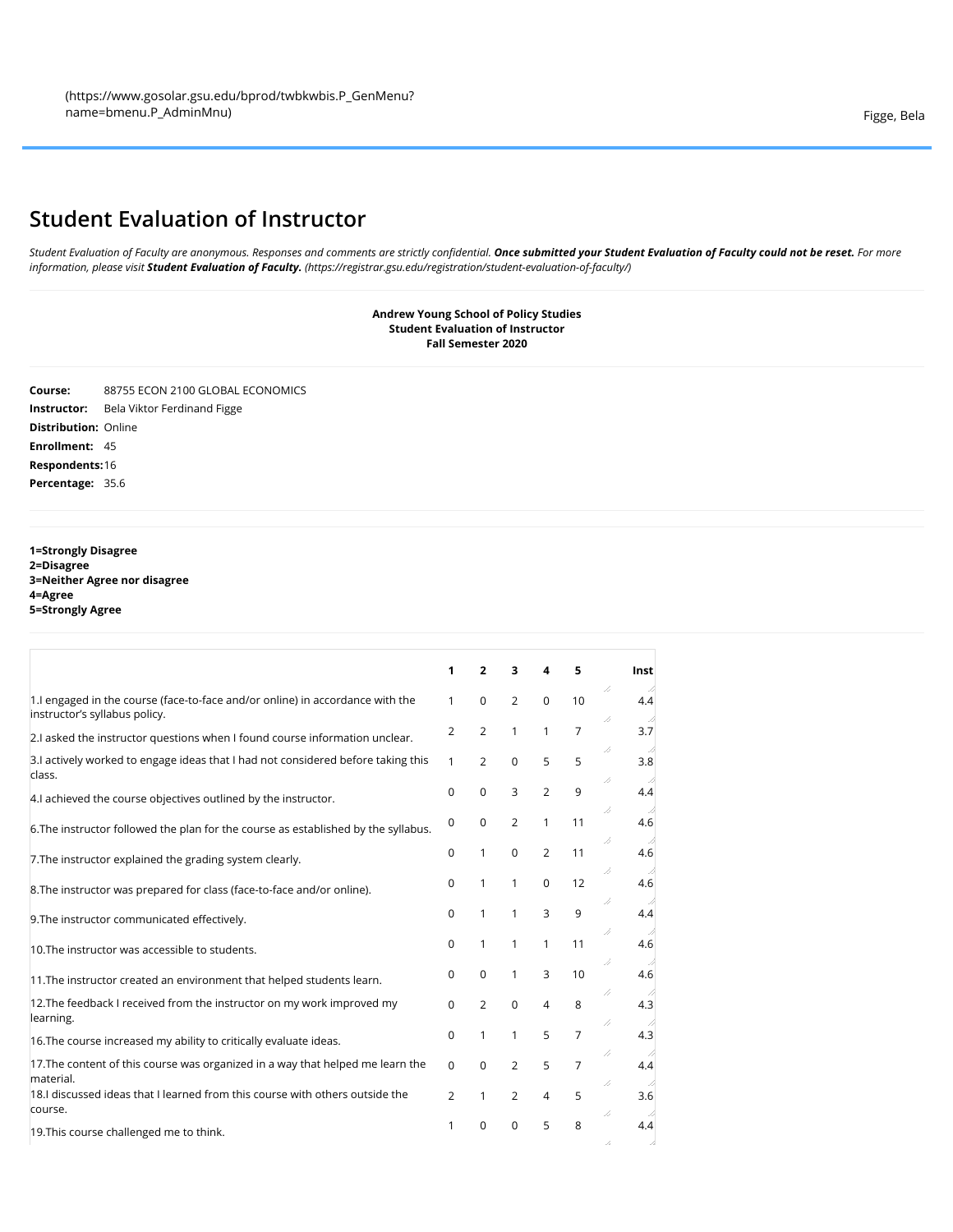## **Student Evaluation of Instructor**

*Student Evaluation of Faculty are anonymous. Responses and comments are strictly confidential. Once submitted your Student Evaluation of Faculty could not be reset. For more information, please visit Student Evaluation of Faculty. [\(https://registrar.gsu.edu/registration/student-evaluation-of-faculty/\)](https://registrar.gsu.edu/registration/student-evaluation-of-faculty/)*

> **Andrew Young School of Policy Studies Student Evaluation of Instructor Fall Semester 2020**

**Course:** 88755 ECON 2100 GLOBAL ECONOMICS **Instructor:** Bela Viktor Ferdinand Figge **Distribution:** Online **Enrollment:** 45 **Respondents:**16 **Percentage:** 35.6

**1=Strongly Disagree 2=Disagree 3=Neither Agree nor disagree 4=Agree 5=Strongly Agree**

|                                                                                                                 | 1              | 2              | 3              | 4              | 5              | Inst            |
|-----------------------------------------------------------------------------------------------------------------|----------------|----------------|----------------|----------------|----------------|-----------------|
| 1. I engaged in the course (face-to-face and/or online) in accordance with the<br>instructor's syllabus policy. | $\mathbf{1}$   | 0              | $\overline{2}$ | $\Omega$       | 10             | 7,<br>4.4<br>// |
| 2.I asked the instructor questions when I found course information unclear.                                     | 2              | 2              | 1              | 1              | $\overline{7}$ | 3.7             |
| 3. actively worked to engage ideas that I had not considered before taking this<br>class.                       | $\mathbf{1}$   | $\overline{2}$ | $\mathbf 0$    | 5              | 5              | //<br>3.8<br>// |
| 4.I achieved the course objectives outlined by the instructor.                                                  | $\Omega$       | 0              | 3              | $\overline{2}$ | 9              | 4.4             |
| 6. The instructor followed the plan for the course as established by the syllabus.                              | $\Omega$       | $\Omega$       | $\overline{2}$ | 1              | 11             | //<br>4.6<br>/, |
| 7. The instructor explained the grading system clearly.                                                         | 0              | 1              | $\mathbf 0$    | $\overline{2}$ | 11             | 4.6<br>7,       |
| 8. The instructor was prepared for class (face-to-face and/or online).                                          | 0              | 1              | $\mathbf{1}$   | $\mathbf 0$    | 12             | 4.6<br>//       |
| 9. The instructor communicated effectively.                                                                     | 0              | 1              | 1              | 3              | 9              | 4.4<br>7,       |
| 10. The instructor was accessible to students.                                                                  | 0              | 1              | $\mathbf{1}$   | $\mathbf{1}$   | 11             | 4.6<br>//<br>4  |
| 11. The instructor created an environment that helped students learn.                                           | 0              | 0              | 1              | 3              | 10             | 4.6<br>//       |
| 12. The feedback I received from the instructor on my work improved my<br>learning.                             | 0              | $\overline{2}$ | $\Omega$       | $\overline{4}$ | 8              | 4.3<br>77       |
| 16. The course increased my ability to critically evaluate ideas.                                               | 0              | 1              | $\mathbf{1}$   | 5              | $\overline{7}$ | 4.3             |
| 17. The content of this course was organized in a way that helped me learn the<br>material.                     | $\Omega$       | $\Omega$       | $\overline{2}$ | 5              | $\overline{7}$ | //<br>4.4       |
| 18.I discussed ideas that I learned from this course with others outside the<br>course.                         | $\overline{2}$ | 1              | $\overline{2}$ | 4              | 5              | //<br>3.6<br>77 |
| 19. This course challenged me to think.                                                                         | 1              | 0              | $\Omega$       | 5              | 8              | 4.4<br>7,       |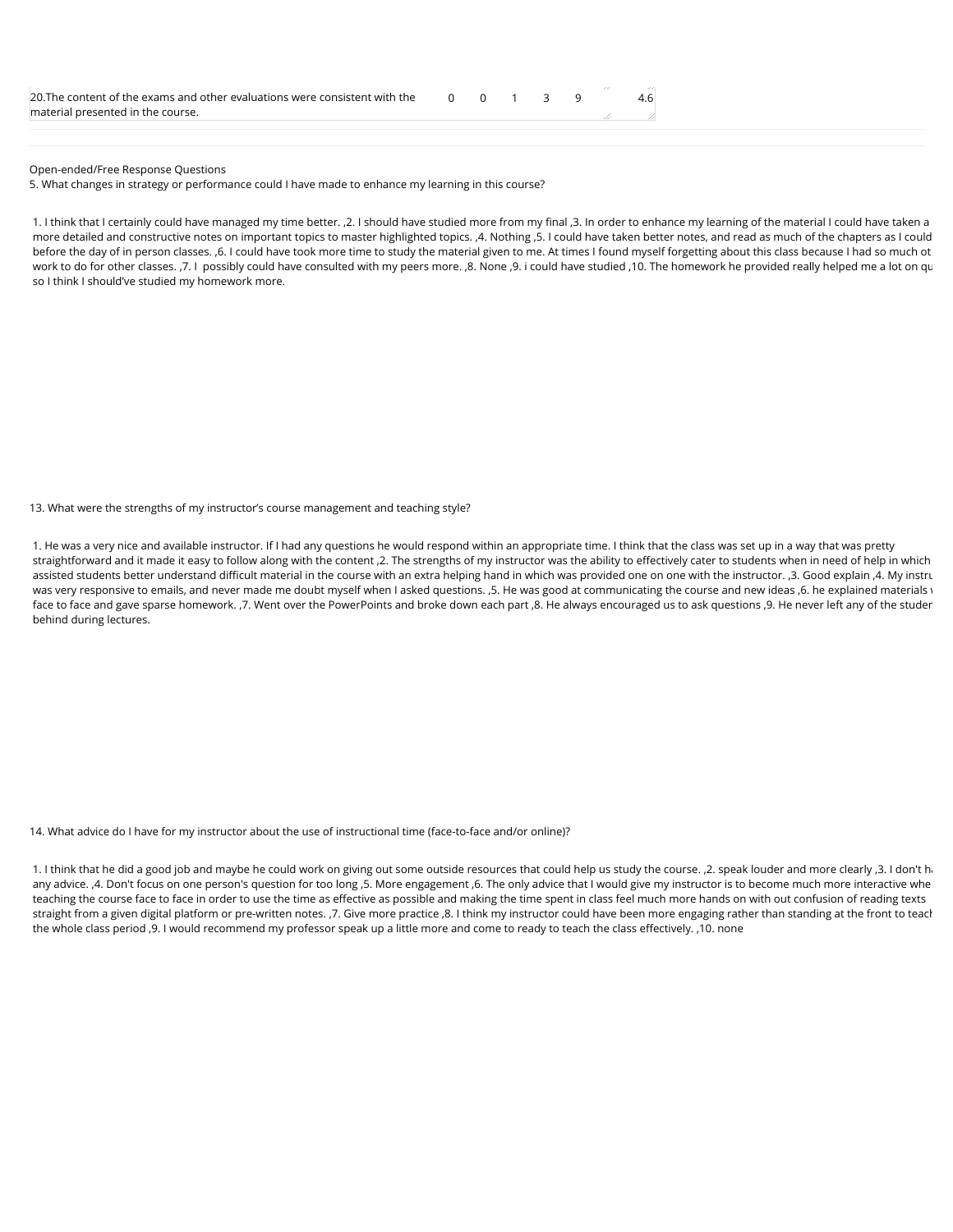| 20. The content of the exams and other evaluations were consistent with the $\begin{array}{cccc} 0 & 0 & 1 & 3 & 9 \end{array}$ |  |  |  |  |
|---------------------------------------------------------------------------------------------------------------------------------|--|--|--|--|
| material presented in the course.                                                                                               |  |  |  |  |
|                                                                                                                                 |  |  |  |  |

Open-ended/Free Response Questions

5. What changes in strategy or performance could I have made to enhance my learning in this course?

1. I think that I certainly could have managed my time better. ,2. I should have studied more from my final ,3. In order to enhance my learning of the material I could have taken a more detailed and constructive notes on important topics to master highlighted topics. ,4. Nothing ,5. I could have taken better notes, and read as much of the chapters as I could before the day of in person classes. ,6. I could have took more time to study the material given to me. At times I found myself forgetting about this class because I had so much ot work to do for other classes. ,7. I possibly could have consulted with my peers more. ,8. None ,9. i could have studied ,10. The homework he provided really helped me a lot on qu so I think I should've studied my homework more.

13. What were the strengths of my instructor's course management and teaching style?

1. He was a very nice and available instructor. If I had any questions he would respond within an appropriate time. I think that the class was set up in a way that was pretty straightforward and it made it easy to follow along with the content ,2. The strengths of my instructor was the ability to effectively cater to students when in need of help in which assisted students better understand difficult material in the course with an extra helping hand in which was provided one on one with the instructor. ,3. Good explain ,4. My instru was very responsive to emails, and never made me doubt myself when I asked questions. , 5. He was good at communicating the course and new ideas ,6. he explained materials v face to face and gave sparse homework. ,7. Went over the PowerPoints and broke down each part ,8. He always encouraged us to ask questions ,9. He never left any of the studen behind during lectures.

14. What advice do I have for my instructor about the use of instructional time (face-to-face and/or online)?

1. I think that he did a good job and maybe he could work on giving out some outside resources that could help us study the course. ,2. speak louder and more clearly ,3. I don't ha any advice. A. Don't focus on one person's question for too long ,5. More engagement ,6. The only advice that I would give my instructor is to become much more interactive whe teaching the course face to face in order to use the time as effective as possible and making the time spent in class feel much more hands on with out confusion of reading texts straight from a given digital platform or pre-written notes. ,7. Give more practice ,8. I think my instructor could have been more engaging rather than standing at the front to teach the whole class period ,9. I would recommend my professor speak up a little more and come to ready to teach the class effectively. ,10. none